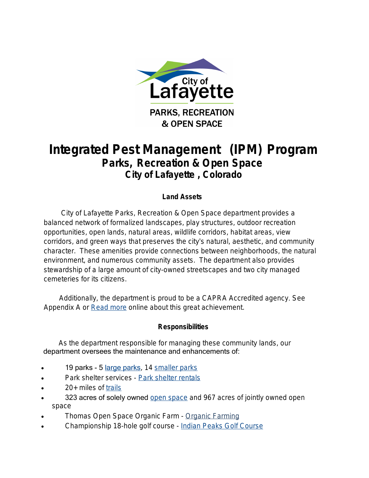

# **Integrated Pest Management (IPM) Program Parks, Recreation & Open Space City of Lafayette , Colorado**

# **Land Assets**

 City of Lafayette Parks, Recreation & Open Space department provides a balanced network of formalized landscapes, play structures, outdoor recreation opportunities, open lands, natural areas, wildlife corridors, habitat areas, view corridors, and green ways that preserves the city's natural, aesthetic, and community character. These amenities provide connections between neighborhoods, the natural environment, and numerous community assets. The department also provides stewardship of a large amount of city-owned streetscapes and two city managed cemeteries for its citizens.

 Additionally, the department is proud to be a CAPRA Accredited agency. See Appendix A or [Read more](http://www.cityoflafayette.com/index.aspx?NID=858) online about this great achievement.

## **Responsibilities**

 As the department responsible for managing these community lands, our department oversees the maintenance and enhancements of:

- 19 parks 5 [large parks](http://co-lafayette.civicplus.com/Facilities.aspx?page=list&search=1&CID=12), 14 [smaller parks](http://co-lafayette.civicplus.com/Facilities.aspx?page=list&search=1&CID=11)
- Park shelter services Park shelter rentals
- 20+ miles of [trails](http://co-lafayette.civicplus.com/index.aspx?NID=161)
- 323 acres of solely owned [open space](http://co-lafayette.civicplus.com/index.aspx?NID=160) and 967 acres of jointly owned open space
- Thomas Open Space Organic Farm [Organic Farming](http://www.cityoflafayette.com/index.aspx?NID=171)
- Championship 18-hole golf course - [Indian Peaks Golf Course](http://www.indianpeaksgolf.com/)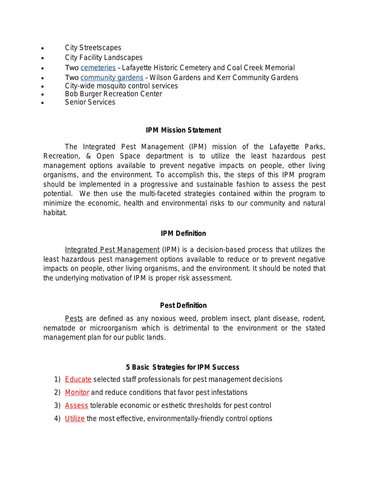- City Streetscapes
- City Facility Landscapes
- Two [cemeteries](http://co-lafayette.civicplus.com/Admin/index.aspx?NID=420) Lafayette Historic Cemetery and Coal Creek Memorial
- Two [community gardens](http://co-lafayette.civicplus.com/index.aspx?NID=165) Wilson Gardens and Kerr Community Gardens
- **•** City-wide mosquito control services
- **Bob Burger Recreation Center**
- Senior Services

## **IPM Mission Statement**

The Integrated Pest Management (IPM) mission of the Lafayette Parks, Recreation, & Open Space department is to utilize the least hazardous pest management options available to prevent negative impacts on people, other living organisms, and the environment. To accomplish this, the steps of this IPM program should be implemented in a progressive and sustainable fashion to assess the pest potential. We then use the multi-faceted strategies contained within the program to minimize the economic, health and environmental risks to our community and natural habitat.

## **IPM Definition**

Integrated Pest Management (IPM) is a decision-based process that utilizes the least hazardous pest management options available to reduce or to prevent negative impacts on people, other living organisms, and the environment. It should be noted that the underlying motivation of IPM is proper risk assessment.

## **Pest Definition**

Pests are defined as any noxious weed, problem insect, plant disease, rodent, nematode or microorganism which is detrimental to the environment or the stated management plan for our public lands.

## **5 Basic Strategies for IPM Success**

- 1) **Educate** selected staff professionals for pest management decisions
- 2) Monitor and reduce conditions that favor pest infestations
- 3) Assess tolerable economic or esthetic thresholds for pest control
- 4) Utilize the most effective, environmentally-friendly control options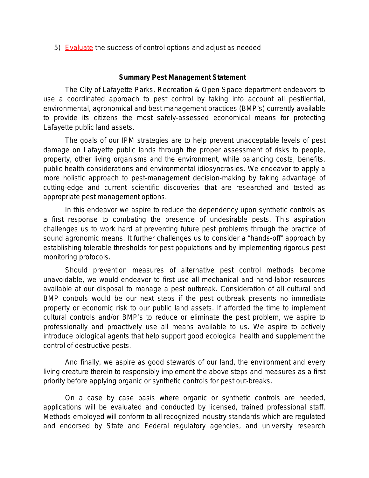5) Evaluate the success of control options and adjust as needed

#### **Summary Pest Management Statement**

The City of Lafayette Parks, Recreation & Open Space department endeavors to use a coordinated approach to pest control by taking into account all pestilential, environmental, agronomical and best management practices (BMP's) currently available to provide its citizens the most safely-assessed economical means for protecting Lafayette public land assets.

The goals of our IPM strategies are to help prevent unacceptable levels of pest damage on Lafayette public lands through the proper assessment of risks to people, property, other living organisms and the environment, while balancing costs, benefits, public health considerations and environmental idiosyncrasies. We endeavor to apply a more holistic approach to pest-management decision-making by taking advantage of cutting-edge and current scientific discoveries that are researched and tested as appropriate pest management options.

In this endeavor we aspire to reduce the dependency upon synthetic controls as a first response to combating the presence of undesirable pests. This aspiration challenges us to work hard at preventing future pest problems through the practice of sound agronomic means. It further challenges us to consider a "hands-off" approach by establishing tolerable thresholds for pest populations and by implementing rigorous pest monitoring protocols.

Should prevention measures of alternative pest control methods become unavoidable, we would endeavor to first use all mechanical and hand-labor resources available at our disposal to manage a pest outbreak. Consideration of all cultural and BMP controls would be our next steps if the pest outbreak presents no immediate property or economic risk to our public land assets. If afforded the time to implement cultural controls and/or BMP's to reduce or eliminate the pest problem, we aspire to professionally and proactively use all means available to us. We aspire to actively introduce biological agents that help support good ecological health and supplement the control of destructive pests.

And finally, we aspire as good stewards of our land, the environment and every living creature therein to responsibly implement the above steps and measures as a first priority before applying organic or synthetic controls for pest out-breaks.

On a case by case basis where organic or synthetic controls are needed, applications will be evaluated and conducted by licensed, trained professional staff. Methods employed will conform to all recognized industry standards which are regulated and endorsed by State and Federal regulatory agencies, and university research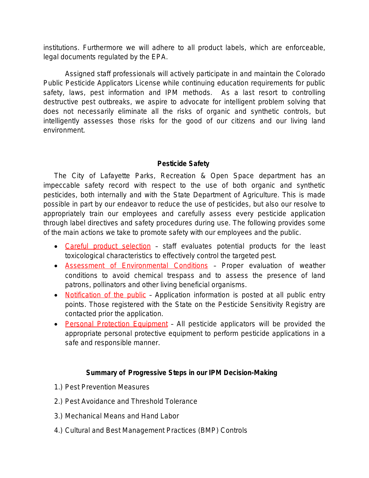institutions. Furthermore we will adhere to all product labels, which are enforceable, legal documents regulated by the EPA.

Assigned staff professionals will actively participate in and maintain the Colorado Public Pesticide Applicators License while continuing education requirements for public safety, laws, pest information and IPM methods. As a last resort to controlling destructive pest outbreaks, we aspire to advocate for intelligent problem solving that does not necessarily eliminate all the risks of organic and synthetic controls, but intelligently assesses those risks for the good of our citizens and our living land environment.

## **Pesticide Safety**

The City of Lafayette Parks, Recreation & Open Space department has an impeccable safety record with respect to the use of both organic and synthetic pesticides, both internally and with the State Department of Agriculture. This is made possible in part by our endeavor to reduce the use of pesticides, but also our resolve to appropriately train our employees and carefully assess every pesticide application through label directives and safety procedures during use. The following provides some of the main actions we take to promote safety with our employees and the public.

- Careful product selection staff evaluates potential products for the least toxicological characteristics to effectively control the targeted pest.
- **Assessment of Environmental Conditions** Proper evaluation of weather conditions to avoid chemical trespass and to assess the presence of land patrons, pollinators and other living beneficial organisms.
- Notification of the public Application information is posted at all public entry points. Those registered with the State on the Pesticide Sensitivity Registry are contacted prior the application.
- Personal Protection Equipment All pesticide applicators will be provided the appropriate personal protective equipment to perform pesticide applications in a safe and responsible manner.

## **Summary of Progressive Steps in our IPM Decision-Making**

- 1.) Pest Prevention Measures
- 2.) Pest Avoidance and Threshold Tolerance
- 3.) Mechanical Means and Hand Labor
- 4.) Cultural and Best Management Practices (BMP) Controls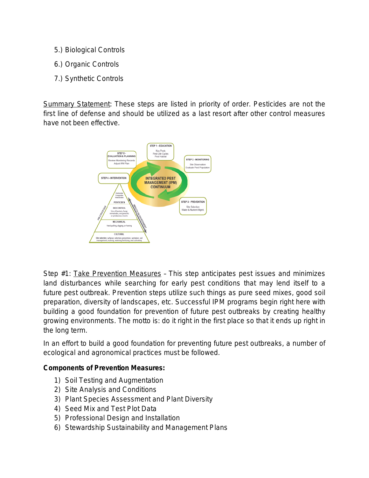- 5.) Biological Controls
- 6.) Organic Controls
- 7.) Synthetic Controls

Summary Statement: *These steps are listed in priority of order. Pesticides are not the first line of defense and should be utilized as a last resort after other control measures have not been effective.*



Step #1: Take Prevention Measures – *This step anticipates pest issues and minimizes land disturbances while searching for early pest conditions that may lend itself to a future pest outbreak. Prevention steps utilize such things as pure seed mixes, good soil preparation, diversity of landscapes, etc. Successful IPM programs begin right here with building a good foundation for prevention of future pest outbreaks by creating healthy* growing environments. The motto is: do it right in the first place so that it ends up right in *the long term.*

*In an effort to build a good foundation for preventing future pest outbreaks, a number of ecological and agronomical practices must be followed.*

## **Components of Prevention Measures:**

- 1) Soil Testing and Augmentation
- 2) Site Analysis and Conditions
- 3) Plant Species Assessment and Plant Diversity
- 4) Seed Mix and Test Plot Data
- 5) Professional Design and Installation
- 6) Stewardship Sustainability and Management Plans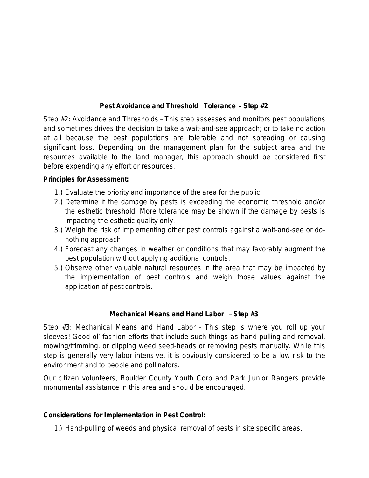## **Pest Avoidance and Threshold Tolerance** – **Step #2**

Step #2: Avoidance and Thresholds – *This step assesses and monitors pest populations and sometimes drives the decision to take a wait-and-see approach; or to take no action at all because the pest populations are tolerable and not spreading or causing significant loss. Depending on the management plan for the subject area and the resources available to the land manager, this approach should be considered first before expending any effort or resources.*

## **Principles for Assessment:**

- 1.) Evaluate the priority and importance of the area for the public.
- 2.) Determine if the damage by pests is exceeding the economic threshold and/or the esthetic threshold. More tolerance may be shown if the damage by pests is impacting the esthetic quality only.
- 3.) Weigh the risk of implementing other pest controls against a wait-and-see or donothing approach.
- 4.) Forecast any changes in weather or conditions that may favorably augment the pest population without applying additional controls.
- 5.) Observe other valuable natural resources in the area that may be impacted by the implementation of pest controls and weigh those values against the application of pest controls.

## **Mechanical Means and Hand Labor** – **Step #3**

Step #3: Mechanical Means and Hand Labor – *This step is where you roll up your sleeves! Good ol*' *fashion efforts that include such things as hand pulling and removal, mowing/trimming, or clipping weed seed-heads or removing pests manually. While this step is generally very labor intensive, it is obviously considered to be a low risk to the environment and to people and pollinators.*

*Our citizen volunteers, Boulder County Youth Corp and Park Junior Rangers provide monumental assistance in this area and should be encouraged.*

## **Considerations for Implementation in Pest Control:**

1.) Hand-pulling of weeds and physical removal of pests in site specific areas.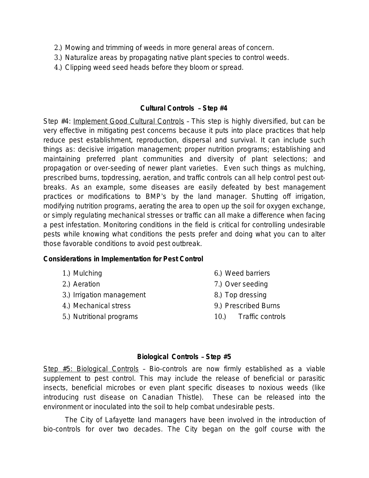- 2.) Mowing and trimming of weeds in more general areas of concern.
- 3.) Naturalize areas by propagating native plant species to control weeds.
- 4.) Clipping weed seed heads before they bloom or spread.

#### **Cultural Controls** – **Step #4**

Step #4: Implement Good Cultural Controls – *This step is highly diversified, but can be very effective in mitigating pest concerns because it puts into place practices that help reduce pest establishment, reproduction, dispersal and survival. It can include such things as: decisive irrigation management; proper nutrition programs; establishing and maintaining preferred plant communities and diversity of plant selections; and propagation or over-seeding of newer plant varieties. Even such things as mulching, prescribed burns, topdressing, aeration, and traffic controls can all help control pest outbreaks. As an example, some diseases are easily defeated by best management practices or modifications to BMP*'*s by the land manager. Shutting off irrigation, modifying nutrition programs, aerating the area to open up the soil for oxygen exchange, or simply regulating mechanical stresses or traffic can all make a difference when facing a pest infestation. Monitoring conditions in the field is critical for controlling undesirable pests while knowing what conditions the pests prefer and doing what you can to alter those favorable conditions to avoid pest outbreak.*

#### **Considerations in Implementation for Pest Control**

- 1.) Mulching
- 2.) Aeration
- 3.) Irrigation management
- 4.) Mechanical stress
- 5.) Nutritional programs
- 6.) Weed barriers
- 7.) Over seeding
- 8.) Top dressing
- 9.) Prescribed Burns
- 10.) Traffic controls

#### **Biological Controls** – **Step #5**

Step #5: Biological Controls – *Bio-controls are now firmly established as a viable supplement to pest control. This may include the release of beneficial or parasitic insects, beneficial microbes or even plant specific diseases to noxious weeds (like introducing rust disease on Canadian Thistle). These can be released into the environment or inoculated into the soil to help combat undesirable pests.* 

*The City of Lafayette land managers have been involved in the introduction of bio-controls for over two decades. The City began on the golf course with the*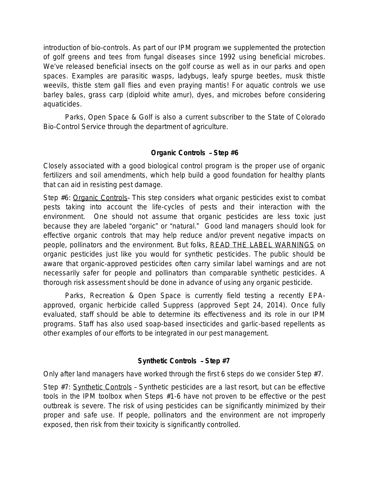*introduction of bio-controls. As part of our IPM program we supplemented the protection of golf greens and tees from fungal diseases since 1992 using beneficial microbes. We*'*ve released beneficial insects on the golf course as well as in our parks and open spaces. Examples are parasitic wasps, ladybugs, leafy spurge beetles, musk thistle weevils, thistle stem gall flies and even praying mantis! For aquatic controls we use barley bales, grass carp (diploid white amur), dyes, and microbes before considering aquaticides.* 

*Parks, Open Space & Golf is also a current subscriber to the State of Colorado Bio-Control Service through the department of agriculture.*

## **Organic Controls** – **Step #6**

Closely associated with a good biological control program is the proper use of organic fertilizers and soil amendments, which help build a good foundation for healthy plants that can aid in resisting pest damage.

Step #6: Organic Controls– *This step considers what organic pesticides exist to combat pests taking into account the life-cycles of pests and their interaction with the environment. One should not assume that organic pesticides are less toxic just because they are labeled* "*organic*" *or* "*natural.*" *Good land managers should look for effective organic controls that may help reduce and/or prevent negative impacts on people, pollinators and the environment. But folks, READ THE LABEL WARNINGS on organic pesticides just like you would for synthetic pesticides. The public should be aware that organic-approved pesticides often carry similar label warnings and are not necessarily safer for people and pollinators than comparable synthetic pesticides. A thorough risk assessment should be done in advance of using any organic pesticide.*

*Parks, Recreation & Open Space is currently field testing a recently EPAapproved, organic herbicide called Suppress (approved Sept 24, 2014). Once fully evaluated, staff should be able to determine its effectiveness and its role in our IPM programs. Staff has also used soap-based insecticides and garlic-based repellents as other examples of our efforts to be integrated in our pest management.*

## **Synthetic Controls** – **Step #7**

Only after land managers have worked through the first 6 steps do we consider Step #7.

Step #7: Synthetic Controls – *Synthetic pesticides are a last resort, but can be effective tools in the IPM toolbox when Steps #1-6 have not proven to be effective or the pest outbreak is severe. The risk of using pesticides can be significantly minimized by their proper and safe use. If people, pollinators and the environment are not improperly exposed, then risk from their toxicity is significantly controlled.*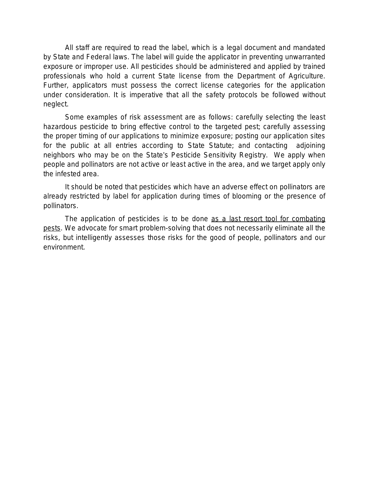*All staff are required to read the label, which is a legal document and mandated by State and Federal laws. The label will guide the applicator in preventing unwarranted exposure or improper use. All pesticides should be administered and applied by trained professionals who hold a current State license from the Department of Agriculture. Further, applicators must possess the correct license categories for the application under consideration. It is imperative that all the safety protocols be followed without neglect.*

*Some examples of risk assessment are as follows: carefully selecting the least hazardous pesticide to bring effective control to the targeted pest; carefully assessing the proper timing of our applications to minimize exposure; posting our application sites for the public at all entries according to State Statute; and contacting adjoining neighbors who may be on the State*'*s Pesticide Sensitivity Registry. We apply when people and pollinators are not active or least active in the area, and we target apply only the infested area.*

*It should be noted that pesticides which have an adverse effect on pollinators are already restricted by label for application during times of blooming or the presence of pollinators.* 

*The application of pesticides is to be done as a last resort tool for combating pests. We advocate for smart problem-solving that does not necessarily eliminate all the risks, but intelligently assesses those risks for the good of people, pollinators and our environment.*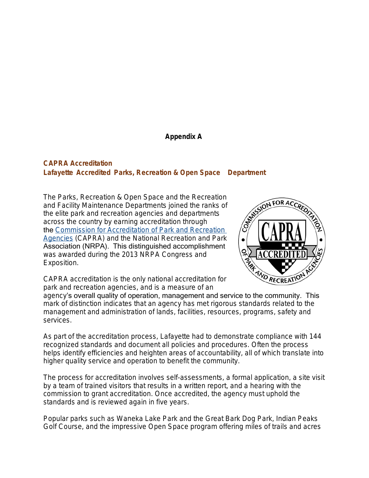#### **Appendix A**

#### **CAPRA Accreditation Lafayette Accredited Parks, Recreation & Open Space Department**

The Parks, Recreation & Open Space and the Recreation and Facility Maintenance Departments joined the ranks of the elite park and recreation agencies and departments across the country by earning accreditation through the [Commission for Accreditation of Park and Recreation](http://www.nrpa.org/capra/)  Agencies (CAPRA) and the National Recreation and Park Association (NRPA). This distinguished accomplishment was awarded during the 2013 NRPA Congress and Exposition.



CAPRA accreditation is the only national accreditation for park and recreation agencies, and is a measure of an

mark of distinction indicates that an agency has met rigorous standards related to the management and administration of lands, facilities, resources, programs, safety and services.

As part of the accreditation process, Lafayette had to demonstrate compliance with 144 recognized standards and document all policies and procedures. Often the process helps identify efficiencies and heighten areas of accountability, all of which translate into higher quality service and operation to benefit the community.

The process for accreditation involves self-assessments, a formal application, a site visit by a team of trained visitors that results in a written report, and a hearing with the commission to grant accreditation. Once accredited, the agency must uphold the standards and is reviewed again in five years.

Popular parks such as Waneka Lake Park and the Great Bark Dog Park, Indian Peaks Golf Course, and the impressive Open Space program offering miles of trails and acres